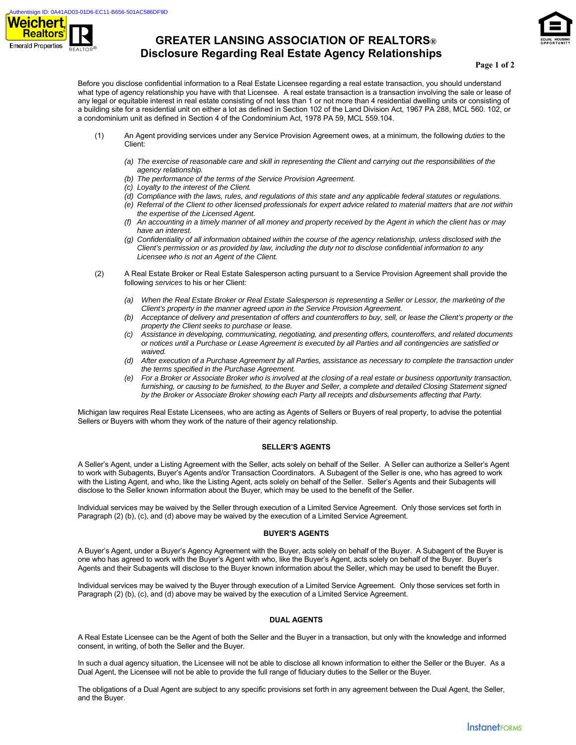

# **GREATER LANSING ASSOCIATION OF REALTORS® Disclosure Regarding Real Estate Agency Relationships**



#### **Page 1 of 2**

Before you disclose confidential information to a Real Estate Licensee regarding a real estate transaction, you should understand what type of agency relationship you have with that Licensee. A real estate transaction is a transaction involving the sale or lease of any legal or equitable interest in real estate consisting of not less than 1 or not more than 4 residential dwelling units or consisting of a building site for a residential unit on either a lot as defined in Section 102 of the Land Division Act, 1967 PA 288, MCL 560. 102, or a condominium unit as defined in Section 4 of the Condominium Act, 1978 PA 59, MCL 559.104.

- (1) An Agent providing services under any Service Provision Agreement owes, at a minimum, the following *duties* to the Client:
	- *(a) The exercise of reasonable care and skill in representing the Client and carrying out the responsibilities of the agency relationship.*
	- *(b) The performance of the terms of the Service Provision Agreement.*
	- *(c) Loyalty to the interest of the Client.*
	- *(d) Compliance with the laws, rules, and regulations of this state and any applicable federal statutes or regulations.*
	- *(e) Referral of the Client to other licensed professionals for expert advice related to material matters that are not within the expertise of the Licensed Agent.*
	- *(f) An accounting in a timely manner of all money and property received by the Agent in which the client has or may have an interest.*
	- *(g) Confidentiality of all information obtained within the course of the agency relationship, unless disclosed with the Client's permission or as provided by law, including the duty not to disclose confidential information to any Licensee who is not an Agent of the Client.*
- (2) A Real Estate Broker or Real Estate Salesperson acting pursuant to a Service Provision Agreement shall provide the following *services* to his or her Client:
	- *(a) When the Real Estate Broker or Real Estate Salesperson is representing a Seller or Lessor, the marketing of the Client's property in the manner agreed upon in the Service Provision Agreement.*
	- *(b) Acceptance of delivery and presentation of offers and counteroffers to buy, sell, or lease the Client's property or the property the Client seeks to purchase or lease.*
	- *(c) Assistance in developing, communicating, negotiating, and presenting offers, counteroffers, and related documents or notices until a Purchase or Lease Agreement is executed by all Parties and all contingencies are satisfied or waived.*
	- *(d) After execution of a Purchase Agreement by all Parties, assistance as necessary to complete the transaction under the terms specified in the Purchase Agreement.*
	- *(e) For a Broker or Associate Broker who is involved at the closing of a real estate or business opportunity transaction,*  furnishing, or causing to be furnished, to the Buyer and Seller, a complete and detailed Closing Statement signed *by the Broker or Associate Broker showing each Party all receipts and disbursements affecting that Party.*

Michigan law requires Real Estate Licensees, who are acting as Agents of Sellers or Buyers of real property, to advise the potential Sellers or Buyers with whom they work of the nature of their agency relationship.

#### **SELLER'S AGENTS**

A Seller's Agent, under a Listing Agreement with the Seller, acts solely on behalf of the Seller. A Seller can authorize a Seller's Agent to work with Subagents, Buyer's Agents and/or Transaction Coordinators. A Subagent of the Seller is one, who has agreed to work with the Listing Agent, and who, like the Listing Agent, acts solely on behalf of the Seller. Seller's Agents and their Subagents will disclose to the Seller known information about the Buyer, which may be used to the benefit of the Seller.

Individual services may be waived by the Seller through execution of a Limited Service Agreement. Only those services set forth in Paragraph (2) (b), (c), and (d) above may be waived by the execution of a Limited Service Agreement.

#### **BUYER'S AGENTS**

A Buyer's Agent, under a Buyer's Agency Agreement with the Buyer, acts solely on behalf of the Buyer. A Subagent of the Buyer is one who has agreed to work with the Buyer's Agent with who, like the Buyer's Agent, acts solely on behalf of the Buyer. Buyer's Agents and their Subagents will disclose to the Buyer known information about the Seller, which may be used to benefit the Buyer.

Individual services may be waived ty the Buyer through execution of a Limited Service Agreement. Only those services set forth in Paragraph (2) (b), (c), and (d) above may be waived by the execution of a Limited Service Agreement.

#### **DUAL AGENTS**

A Real Estate Licensee can be the Agent of both the Seller and the Buyer in a transaction, but only with the knowledge and informed consent, in writing, of both the Seller and the Buyer.

In such a dual agency situation, the Licensee will not be able to disclose all known information to either the Seller or the Buyer. As a Dual Agent, the Licensee will not be able to provide the full range of fiduciary duties to the Seller or the Buyer.

The obligations of a Dual Agent are subject to any specific provisions set forth in any agreement between the Dual Agent, the Seller, and the Buyer.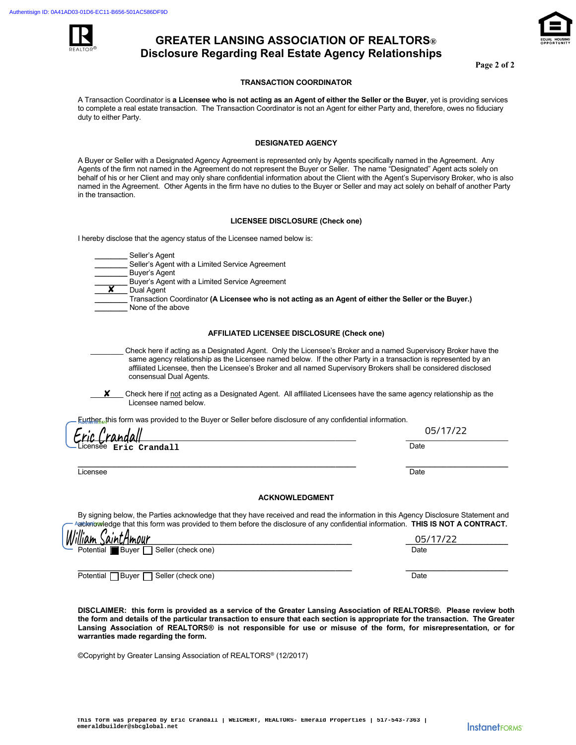

# **GREATER LANSING ASSOCIATION OF REALTORS® Disclosure Regarding Real Estate Agency Relationships**

**Page 2 of 2** 

#### **TRANSACTION COORDINATOR**

A Transaction Coordinator is **a Licensee who is not acting as an Agent of either the Seller or the Buyer**, yet is providing services to complete a real estate transaction. The Transaction Coordinator is not an Agent for either Party and, therefore, owes no fiduciary duty to either Party.

#### **DESIGNATED AGENCY**

A Buyer or Seller with a Designated Agency Agreement is represented only by Agents specifically named in the Agreement. Any Agents of the firm not named in the Agreement do not represent the Buyer or Seller. The name "Designated" Agent acts solely on behalf of his or her Client and may only share confidential information about the Client with the Agent's Supervisory Broker, who is also named in the Agreement. Other Agents in the firm have no duties to the Buyer or Seller and may act solely on behalf of another Party in the transaction.

#### **LICENSEE DISCLOSURE (Check one)**

I hereby disclose that the agency status of the Licensee named below is:

 **\_\_\_\_\_\_\_\_** Seller's Agent

Seller's Agent with a Limited Service Agreement

 **\_\_\_\_\_\_\_\_** Buyer's Agent

Buyer's Agent with a Limited Service Agreement

 **\_\_\_\_\_\_\_\_** Dual Agent ✘

 **\_\_\_\_\_\_\_\_** Transaction Coordinator **(A Licensee who is not acting as an Agent of either the Seller or the Buyer.)**  None of the above

#### **AFFILIATED LICENSEE DISCLOSURE (Check one)**

- \_\_\_\_\_\_\_\_ Check here if acting as a Designated Agent. Only the Licensee's Broker and a named Supervisory Broker have the same agency relationship as the Licensee named below. If the other Party in a transaction is represented by an affiliated Licensee, then the Licensee's Broker and all named Supervisory Brokers shall be considered disclosed consensual Dual Agents.
- Check here if not acting as a Designated Agent. All affiliated Licensees have the same agency relationship as the Licensee named below. ✘

Further, this form was provided to the Buyer or Seller before disclosure of any confidential information.

| Eric Crandall                           | 05/17/22 |
|-----------------------------------------|----------|
| CIIU CIMMINI<br>-Licensee Eric Crandall | Date     |
|                                         |          |

Licensee Date Date is a state of the control of the control of the control of the control of the control of the

 $\sqrt{ }$ 

#### **ACKNOWLEDGMENT**

By signing below, the Parties acknowledge that they have received and read the information in this Agency Disclosure Statement and Aacknowledge that this form was provided to them before the disclosure of any confidential information. **THIS IS NOT A CONTRACT.** 

| <u>William SaintAmour </u>                        | 05/17/22 |
|---------------------------------------------------|----------|
| Potential Buyer Seller (check one)                | Date     |
|                                                   |          |
| Potential<br><b>□</b> Buyer<br>Seller (check one) | Date     |

**DISCLAIMER: this form is provided as a service of the Greater Lansing Association of REALTORS®. Please review both the form and details of the particular transaction to ensure that each section is appropriate for the transaction. The Greater Lansing Association of REALTORS® is not responsible for use or misuse of the form, for misrepresentation, or for warranties made regarding the form.**

©Copyright by Greater Lansing Association of REALTORS® (12/2017)

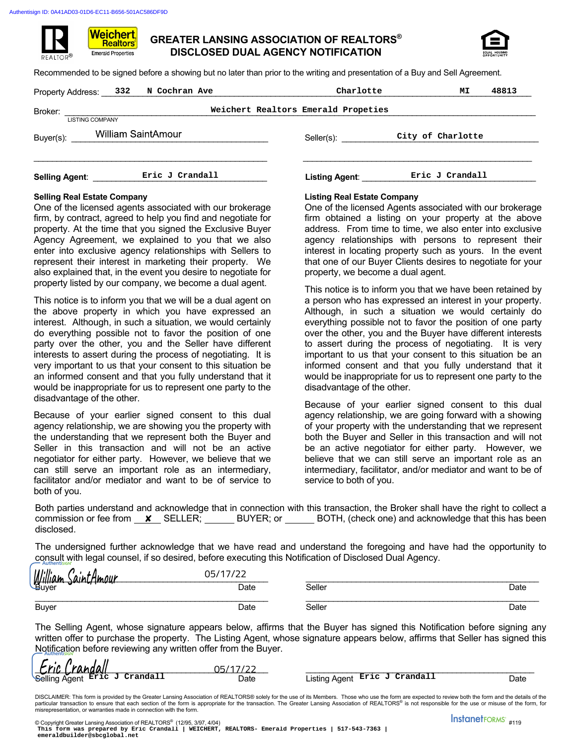Weichert. **Realtors Emerald Properties** 



Recommended to be signed before a showing but no later than prior to the writing and presentation of a Buy and Sell Agreement.

| Property Address: 332 | N Cochran Ave          |  |                | Charlotte                           | МI                | 48813 |
|-----------------------|------------------------|--|----------------|-------------------------------------|-------------------|-------|
| Broker:               | <b>LISTING COMPANY</b> |  |                | Weichert Realtors Emerald Propeties |                   |       |
| Buyer(s):             | William SaintAmour     |  | Seller(s):     |                                     | City of Charlotte |       |
| <b>Selling Agent:</b> | Eric J Crandall        |  | Listing Agent: |                                     | Eric J Crandall   |       |

### **Selling Real Estate Company Listing Real Estate Company**

One of the licensed agents associated with our brokerage firm, by contract, agreed to help you find and negotiate for property. At the time that you signed the Exclusive Buyer Agency Agreement, we explained to you that we also enter into exclusive agency relationships with Sellers to represent their interest in marketing their property. We also explained that, in the event you desire to negotiate for property listed by our company, we become a dual agent.

This notice is to inform you that we will be a dual agent on the above property in which you have expressed an interest. Although, in such a situation, we would certainly do everything possible not to favor the position of one party over the other, you and the Seller have different interests to assert during the process of negotiating. It is very important to us that your consent to this situation be an informed consent and that you fully understand that it would be inappropriate for us to represent one party to the disadvantage of the other. William Sainty-mour<br>
Reduce):<br>
Reduce of Crandall<br>
Reduce of Crandall<br>
Reduce of Crandall<br>
Reduce of Crandall<br>
City of Crandall<br>
Leting Reduce the Property and Andronio Modella Company<br>
Reduce of the discussion of the Disc

Because of your earlier signed consent to this dual agency relationship, we are showing you the property with the understanding that we represent both the Buyer and Seller in this transaction and will not be an active negotiator for either party. However, we believe that we can still serve an important role as an intermediary, facilitator and/or mediator and want to be of service to both of you.

One of the licensed Agents associated with our brokerage firm obtained a listing on your property at the above address. From time to time, we also enter into exclusive agency relationships with persons to represent their interest in locating property such as yours. In the event that one of our Buyer Clients desires to negotiate for your property, we become a dual agent.

This notice is to inform you that we have been retained by a person who has expressed an interest in your property. Although, in such a situation we would certainly do everything possible not to favor the position of one party over the other, you and the Buyer have different interests to assert during the process of negotiating. It is very important to us that your consent to this situation be an informed consent and that you fully understand that it would be inappropriate for us to represent one party to the disadvantage of the other.

Because of your earlier signed consent to this dual agency relationship, we are going forward with a showing of your property with the understanding that we represent both the Buyer and Seller in this transaction and will not be an active negotiator for either party. However, we believe that we can still serve an important role as an intermediary, facilitator, and/or mediator and want to be of service to both of you.

Both parties understand and acknowledge that in connection with this transaction, the Broker shall have the right to collect a commission or fee from  $\boldsymbol{\mathsf{x}}$  SELLER; BUYER; or BOTH, (check one) and acknowledge that this has been disclosed.

The undersigned further acknowledge that we have read and understand the foregoing and have had the opportunity to consult with legal counsel, if so desired, before executing this Notification of Disclosed Dual Agency.

| William<br><u>tAmour</u><br>AINT | 05/17/22<br><u>_ _</u> |        |      |
|----------------------------------|------------------------|--------|------|
| Buyer                            | Date                   | Seller | Date |
| <b>Buyer</b>                     | Date                   | Seller | Date |

The Selling Agent, whose signature appears below, affirms that the Buyer has signed this Notification before signing any written offer to purchase the property. The Listing Agent, whose signature appears below, affirms that Seller has signed this Notification before reviewing any written offer from the Buyer.

| Eric Crandall                 | 05/17/22 |                               |      |
|-------------------------------|----------|-------------------------------|------|
| Selling Agent Eric J Crandall | Date     | Listing Agent Eric J Crandall | Date |

DISCLAIMER: This form is provided by the Greater Lansing Association of REALTORS® solely for the use of its Members. Those who use the form are expected to review both the form and the details of the<br>particular transaction misrepresentation, or warranties made in connection with the form.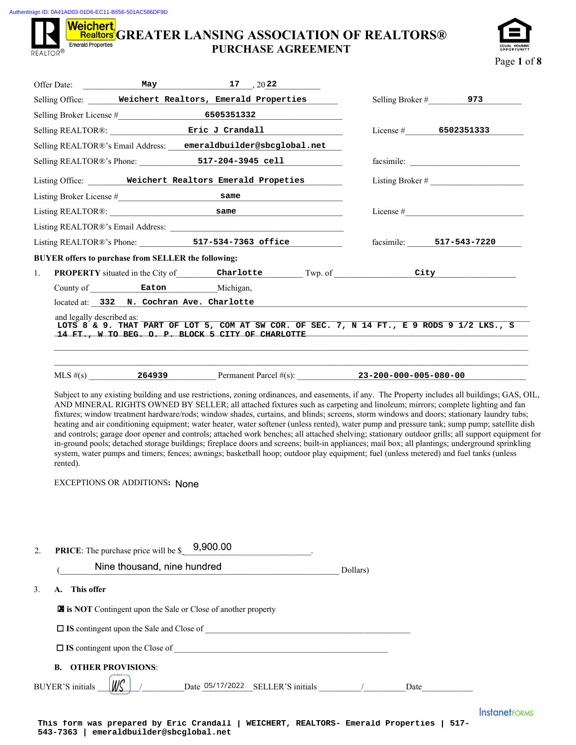Authentisign ID: 0A41AD03-01D6-EC11-B656-501AC586DF9D

REALTOR<sup>®</sup>

# **Weichert, GREATER LANSING ASSOCIATION OF REALTORS® PURCHASE AGREEMENT**



| Offer Date:                                         |                                      | May $17, 2022$                                                 |                                                                       |                                                           |                                                                                                                                                                                                                                                                                                                                                                                                                                                                                                                                                                                                                                                                                                                                                                                                                                                                                                                                                                                                                                |
|-----------------------------------------------------|--------------------------------------|----------------------------------------------------------------|-----------------------------------------------------------------------|-----------------------------------------------------------|--------------------------------------------------------------------------------------------------------------------------------------------------------------------------------------------------------------------------------------------------------------------------------------------------------------------------------------------------------------------------------------------------------------------------------------------------------------------------------------------------------------------------------------------------------------------------------------------------------------------------------------------------------------------------------------------------------------------------------------------------------------------------------------------------------------------------------------------------------------------------------------------------------------------------------------------------------------------------------------------------------------------------------|
|                                                     |                                      |                                                                | Selling Office: Weichert Realtors, Emerald Properties                 | Selling Broker #                                          | 973 — 10                                                                                                                                                                                                                                                                                                                                                                                                                                                                                                                                                                                                                                                                                                                                                                                                                                                                                                                                                                                                                       |
|                                                     |                                      |                                                                |                                                                       |                                                           |                                                                                                                                                                                                                                                                                                                                                                                                                                                                                                                                                                                                                                                                                                                                                                                                                                                                                                                                                                                                                                |
|                                                     |                                      |                                                                | Selling REALTOR®: Eric J Crandall                                     |                                                           | License # $6502351333$                                                                                                                                                                                                                                                                                                                                                                                                                                                                                                                                                                                                                                                                                                                                                                                                                                                                                                                                                                                                         |
|                                                     |                                      | Selling REALTOR®'s Email Address: emeraldbuilder@sbcglobal.net |                                                                       |                                                           |                                                                                                                                                                                                                                                                                                                                                                                                                                                                                                                                                                                                                                                                                                                                                                                                                                                                                                                                                                                                                                |
|                                                     |                                      |                                                                | Selling REALTOR®'s Phone: 517-204-3945 cell                           |                                                           |                                                                                                                                                                                                                                                                                                                                                                                                                                                                                                                                                                                                                                                                                                                                                                                                                                                                                                                                                                                                                                |
|                                                     |                                      |                                                                | Listing Office: Weichert Realtors Emerald Propeties                   |                                                           |                                                                                                                                                                                                                                                                                                                                                                                                                                                                                                                                                                                                                                                                                                                                                                                                                                                                                                                                                                                                                                |
|                                                     |                                      |                                                                |                                                                       |                                                           |                                                                                                                                                                                                                                                                                                                                                                                                                                                                                                                                                                                                                                                                                                                                                                                                                                                                                                                                                                                                                                |
|                                                     |                                      |                                                                | Listing REALTOR®: same same                                           |                                                           |                                                                                                                                                                                                                                                                                                                                                                                                                                                                                                                                                                                                                                                                                                                                                                                                                                                                                                                                                                                                                                |
|                                                     |                                      |                                                                |                                                                       |                                                           |                                                                                                                                                                                                                                                                                                                                                                                                                                                                                                                                                                                                                                                                                                                                                                                                                                                                                                                                                                                                                                |
|                                                     |                                      |                                                                | Listing REALTOR®'s Phone: 517-534-7363 office                         |                                                           | facsimile: 517-543-7220                                                                                                                                                                                                                                                                                                                                                                                                                                                                                                                                                                                                                                                                                                                                                                                                                                                                                                                                                                                                        |
| BUYER offers to purchase from SELLER the following: |                                      |                                                                |                                                                       |                                                           |                                                                                                                                                                                                                                                                                                                                                                                                                                                                                                                                                                                                                                                                                                                                                                                                                                                                                                                                                                                                                                |
| 1.                                                  |                                      |                                                                |                                                                       |                                                           | <b>PROPERTY</b> situated in the City of Charlotte Twp. of City                                                                                                                                                                                                                                                                                                                                                                                                                                                                                                                                                                                                                                                                                                                                                                                                                                                                                                                                                                 |
|                                                     |                                      | County of Eaton Michigan,                                      |                                                                       |                                                           |                                                                                                                                                                                                                                                                                                                                                                                                                                                                                                                                                                                                                                                                                                                                                                                                                                                                                                                                                                                                                                |
|                                                     |                                      | located at: 332 N. Cochran Ave. Charlotte                      |                                                                       | <u> 1989 - John Stein, Amerikaansk politiker (* 1989)</u> |                                                                                                                                                                                                                                                                                                                                                                                                                                                                                                                                                                                                                                                                                                                                                                                                                                                                                                                                                                                                                                |
| and legally described as:                           |                                      |                                                                | 14 FT., W TO BEG. O. P. BLOCK 5 CITY OF CHARLOTTE <b>All Accounts</b> |                                                           | LOTS 8 & 9. THAT PART OF LOT 5, COM AT SW COR. OF SEC. 7, N 14 FT., E 9 RODS 9 1/2 LKS., S                                                                                                                                                                                                                                                                                                                                                                                                                                                                                                                                                                                                                                                                                                                                                                                                                                                                                                                                     |
|                                                     |                                      |                                                                |                                                                       |                                                           | MLS $\#(s)$ 264939 264939 Permanent Parcel $\#(s)$ : 23-200-000-005-080-00                                                                                                                                                                                                                                                                                                                                                                                                                                                                                                                                                                                                                                                                                                                                                                                                                                                                                                                                                     |
| rented).                                            |                                      |                                                                |                                                                       |                                                           | Subject to any existing building and use restrictions, zoning ordinances, and easements, if any. The Property includes all buildings; GAS, OIL,<br>AND MINERAL RIGHTS OWNED BY SELLER; all attached fixtures such as carpeting and linoleum; mirrors; complete lighting and fan<br>fixtures; window treatment hardware/rods; window shades, curtains, and blinds; screens, storm windows and doors; stationary laundry tubs;<br>heating and air conditioning equipment; water heater, water softener (unless rented), water pump and pressure tank; sump pump; satellite dish<br>and controls; garage door opener and controls; attached work benches; all attached shelving; stationary outdoor grills; all support equipment for<br>in-ground pools; detached storage buildings; fireplace doors and screens; built-in appliances; mail box; all plantings; underground sprinkling<br>system, water pumps and timers; fences; awnings; basketball hoop; outdoor play equipment; fuel (unless metered) and fuel tanks (unless |
|                                                     | <b>EXCEPTIONS OR ADDITIONS: None</b> |                                                                |                                                                       |                                                           |                                                                                                                                                                                                                                                                                                                                                                                                                                                                                                                                                                                                                                                                                                                                                                                                                                                                                                                                                                                                                                |
|                                                     |                                      |                                                                |                                                                       |                                                           |                                                                                                                                                                                                                                                                                                                                                                                                                                                                                                                                                                                                                                                                                                                                                                                                                                                                                                                                                                                                                                |
|                                                     |                                      |                                                                |                                                                       |                                                           |                                                                                                                                                                                                                                                                                                                                                                                                                                                                                                                                                                                                                                                                                                                                                                                                                                                                                                                                                                                                                                |

| 2. | <b>PRICE:</b> The purchase price will be $\text{\$}$ 9,900.00                                           |          |      |                                 |
|----|---------------------------------------------------------------------------------------------------------|----------|------|---------------------------------|
|    | Nine thousand, nine hundred                                                                             | Dollars) |      |                                 |
| 3. | This offer<br>А.                                                                                        |          |      |                                 |
|    | <b>X</b> is NOT Contingent upon the Sale or Close of another property                                   |          |      |                                 |
|    | $\Box$ IS contingent upon the Sale and Close of<br><u> 1980 - Jan Barnett, fransk politik (f. 1980)</u> |          |      |                                 |
|    |                                                                                                         |          |      |                                 |
|    | <b>OTHER PROVISIONS:</b><br>B.                                                                          |          |      |                                 |
|    | Date 05/17/2022 SELLER'S initials /<br><b>BUYER'S</b> initials                                          |          | Date |                                 |
|    | This form was prepared by Eric Crandall  <br>WEICHERT, REALTORS- Emerald Properties                     |          |      | <b>InstanetFORMS</b><br>$517 -$ |

**543-7363 | emeraldbuilder@sbcglobal.net**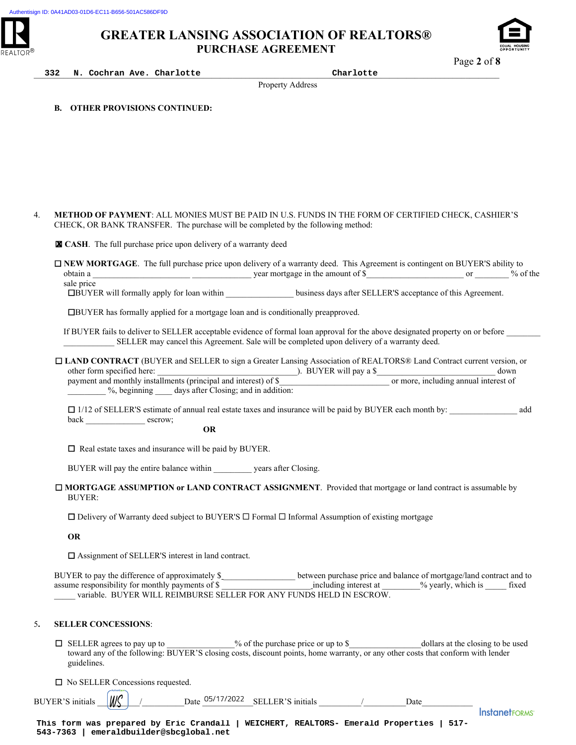

\_\_\_\_\_\_\_\_\_\_\_\_\_\_\_\_\_\_\_\_\_\_\_\_\_\_\_\_\_\_\_\_\_\_\_\_\_\_\_\_\_\_\_\_\_\_\_\_\_\_\_\_\_\_\_\_\_\_\_\_\_\_\_\_\_\_\_\_\_\_\_\_\_\_\_\_\_\_\_\_\_\_\_\_\_\_\_\_\_\_\_\_\_\_\_\_\_\_\_\_\_\_\_\_\_\_\_\_\_\_ **332 N. Cochran Ave. Charlotte Charlotte**

Property Address

**B. OTHER PROVISIONS CONTINUED:**

4. **METHOD OF PAYMENT**: ALL MONIES MUST BE PAID IN U.S. FUNDS IN THE FORM OF CERTIFIED CHECK, CASHIER'S CHECK, OR BANK TRANSFER. The purchase will be completed by the following method:

**CASH**. The full purchase price upon delivery of a warranty deed

 **NEW MORTGAGE**. The full purchase price upon delivery of a warranty deed. This Agreement is contingent on BUYER'S ability to obtain a \_\_\_\_\_\_\_\_\_\_\_\_\_\_\_\_\_\_\_\_\_\_\_ \_\_\_\_\_\_\_\_\_\_\_\_\_\_ year mortgage in the amount of \$\_\_\_\_\_\_\_\_\_\_\_\_\_\_\_\_\_\_\_\_\_\_\_ or \_\_\_\_\_\_\_\_ % of the sale price

**IBUYER** will formally apply for loan within \_\_\_\_\_\_\_\_\_\_\_\_\_\_\_\_\_\_\_\_ business days after SELLER'S acceptance of this Agreement.

BUYER has formally applied for a mortgage loan and is conditionally preapproved.

If BUYER fails to deliver to SELLER acceptable evidence of formal loan approval for the above designated property on or before SELLER may cancel this Agreement. Sale will be completed upon delivery of a warranty deed.

 **LAND CONTRACT** (BUYER and SELLER to sign a Greater Lansing Association of REALTORS® Land Contract current version, or other form specified here: \_\_\_\_\_\_\_\_\_\_\_\_\_\_\_\_\_\_\_\_\_\_\_\_\_\_\_\_\_\_\_\_\_). BUYER will pay a \$\_\_\_\_\_\_\_\_\_\_\_\_\_\_\_\_\_\_\_\_\_\_\_\_\_\_\_\_ down payment and monthly installments (principal and interest) of \$\_\_\_\_\_\_\_\_\_\_\_\_\_\_\_\_\_\_\_\_\_\_\_\_\_\_ or more, including annual interest of %, beginning days after Closing; and in addition: **EXECUTE:** The full purchase price upon delivery of<br>
UNEW MORTGAGE. The full purchase price up<br>
obtain a<br>
side price<br> **EBUYER will formally apply for loan within**<br> **EBUYER has formally apply for loan within**<br> **CBUYER has f** 

 $\Box$  1/12 of SELLER'S estimate of annual real estate taxes and insurance will be paid by BUYER each month by: add back escrow;

**OR**

□ Real estate taxes and insurance will be paid by BUYER.

BUYER will pay the entire balance within \_\_\_\_\_\_\_\_\_ years after Closing.

 **MORTGAGE ASSUMPTION or LAND CONTRACT ASSIGNMENT**. Provided that mortgage or land contract is assumable by BUYER:

 $\Box$  Delivery of Warranty deed subject to BUYER'S  $\Box$  Formal  $\Box$  Informal Assumption of existing mortgage

**OR** 

□ Assignment of SELLER'S interest in land contract.

BUYER to pay the difference of approximately \$ \_\_\_\_\_\_\_\_\_\_\_\_\_\_\_\_\_ between purchase price and balance of mortgage/land contract and to assume responsibility for monthly payments of \$ \_\_\_\_\_\_\_\_\_\_\_\_\_\_\_\_\_\_\_\_\_ including interest at \_\_\_\_\_\_\_\_\_% yearly, which is \_\_\_\_\_ fixed variable. BUYER WILL REIMBURSE SELLER FOR ANY FUNDS HELD IN ESCROW.

#### 5**. SELLER CONCESSIONS**:

 $\Box$  SELLER agrees to pay up to  $\degree$  of the purchase price or up to \$ dollars at the closing to be used toward any of the following: BUYER'S closing costs, discount points, home warranty, or any other costs that conform with lender guidelines.

□ No SELLER Concessions requested.

BUYER'S initials  $\left|\frac{\partial f}{\partial x}\right|$  / Date 05/17/2022 SELLER'S initials / Date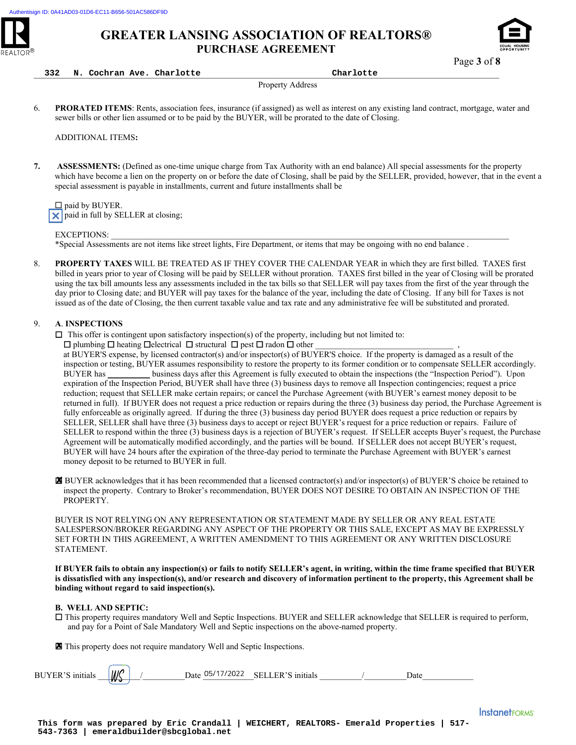



Page **3** of **8**

| 332 | Cochran Ave. Charlotte<br>N. | . | Charlotte |
|-----|------------------------------|---|-----------|
|-----|------------------------------|---|-----------|

**332 N. Cochran Ave. Charlotte Charlotte**

Property Address

6. **PRORATED ITEMS**: Rents, association fees, insurance (if assigned) as well as interest on any existing land contract, mortgage, water and sewer bills or other lien assumed or to be paid by the BUYER, will be prorated to the date of Closing.

ADDITIONAL ITEMS**:** 

**7. ASSESSMENTS:** (Defined as one-time unique charge from Tax Authority with an end balance) All special assessments for the property which have become a lien on the property on or before the date of Closing, shall be paid by the SELLER, provided, however, that in the event a special assessment is payable in installments, current and future installments shall be

 $\square$  paid by BUYER.  $\times$  paid in full by SELLER at closing;

EXCEPTIONS:

Ī

\*Special Assessments are not items like street lights, Fire Department, or items that may be ongoing with no end balance .

8. **PROPERTY TAXES** WILL BE TREATED AS IF THEY COVER THE CALENDAR YEAR in which they are first billed. TAXES first billed in years prior to year of Closing will be paid by SELLER without proration. TAXES first billed in the year of Closing will be prorated using the tax bill amounts less any assessments included in the tax bills so that SELLER will pay taxes from the first of the year through the day prior to Closing date; and BUYER will pay taxes for the balance of the year, including the date of Closing. If any bill for Taxes is not issued as of the date of Closing, the then current taxable value and tax rate and any administrative fee will be substituted and prorated.

#### 9. **A**. **INSPECTIONS**

 $\Box$  This offer is contingent upon satisfactory inspection(s) of the property, including but not limited to:

 $\square$  plumbing  $\square$  heating  $\square$  electrical  $\square$  structural  $\square$  pest  $\square$  radon  $\square$  other

at BUYER'S expense, by licensed contractor(s) and/or inspector(s) of BUYER'S choice. If the property is damaged as a result of the inspection or testing, BUYER assumes responsibility to restore the property to its former condition or to compensate SELLER accordingly. BUYER has business days after this Agreement is fully executed to obtain the inspections (the "Inspection Period"). Upon expiration of the Inspection Period, BUYER shall have three (3) business days to remove all Inspection contingencies; request a price reduction; request that SELLER make certain repairs; or cancel the Purchase Agreement (with BUYER's earnest money deposit to be returned in full). If BUYER does not request a price reduction or repairs during the three (3) business day period, the Purchase Agreement is fully enforceable as originally agreed. If during the three (3) business day period BUYER does request a price reduction or repairs by SELLER, SELLER shall have three (3) business days to accept or reject BUYER's request for a price reduction or repairs. Failure of SELLER to respond within the three (3) business days is a rejection of BUYER's request. If SELLER accepts Buyer's request, the Purchase Agreement will be automatically modified accordingly, and the parties will be bound. If SELLER does not accept BUYER's request, BUYER will have 24 hours after the expiration of the three-day period to terminate the Purchase Agreement with BUYER's earnest money deposit to be returned to BUYER in full.

 BUYER acknowledges that it has been recommended that a licensed contractor(s) and/or inspector(s) of BUYER'S choice be retained to inspect the property. Contrary to Broker's recommendation, BUYER DOES NOT DESIRE TO OBTAIN AN INSPECTION OF THE PROPERTY.

BUYER IS NOT RELYING ON ANY REPRESENTATION OR STATEMENT MADE BY SELLER OR ANY REAL ESTATE SALESPERSON/BROKER REGARDING ANY ASPECT OF THE PROPERTY OR THIS SALE, EXCEPT AS MAY BE EXPRESSLY SET FORTH IN THIS AGREEMENT, A WRITTEN AMENDMENT TO THIS AGREEMENT OR ANY WRITTEN DISCLOSURE STATEMENT. **EXAMPLE SETTLE SETTLE SETTLE SETTLE SETTLE SETTLE SETTLE SUVER IS NOT RELYING ON ANY REPRESEN SALESPERSON/BROKER REGARDING ANY ASSET FORTH IN THIS AGREEMENT, A WRITTE STATEMENT.<br>
If BUYER fails to obtain any inspection(s)** 

**If BUYER fails to obtain any inspection(s) or fails to notify SELLER's agent, in writing, within the time frame specified that BUYER is dissatisfied with any inspection(s), and/or research and discovery of information pertinent to the property, this Agreement shall be binding without regard to said inspection(s).** 

#### **B. WELL AND SEPTIC:**

 This property requires mandatory Well and Septic Inspections. BUYER and SELLER acknowledge that SELLER is required to perform, and pay for a Point of Sale Mandatory Well and Septic inspections on the above-named property.

X This property does not require mandatory Well and Septic Inspections.

| ΒU<br> | √W, | ZUZZ<br>Jate |  | Jate |  |
|--------|-----|--------------|--|------|--|
|        |     |              |  |      |  |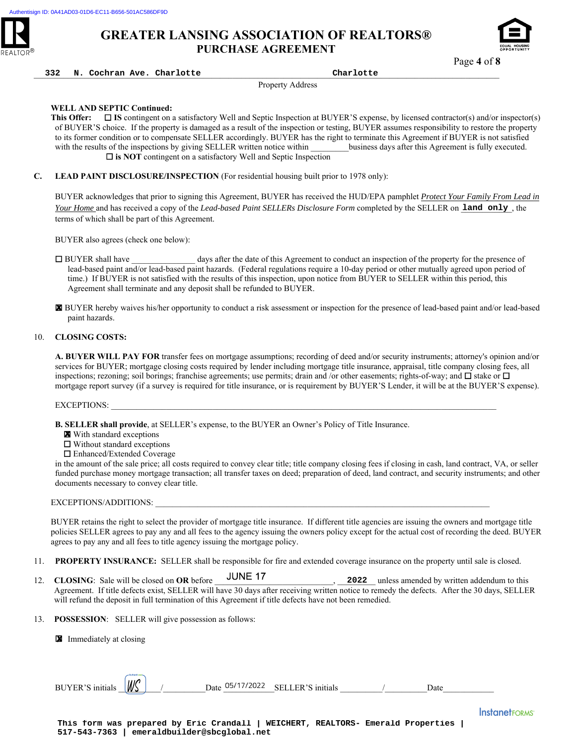



\_\_\_\_\_\_\_\_\_\_\_\_\_\_\_\_\_\_\_\_\_\_\_\_\_\_\_\_\_\_\_\_\_\_\_\_\_\_\_\_\_\_\_\_\_\_\_\_\_\_\_\_\_\_\_\_\_\_\_\_\_\_\_\_\_\_\_\_\_\_\_\_\_\_\_\_\_\_\_\_\_\_\_\_\_\_\_\_\_\_\_\_\_\_\_\_\_\_\_\_\_\_\_\_\_\_\_\_\_\_ **332 N. Cochran Ave. Charlotte Charlotte**

Property Address

#### **WELL AND SEPTIC Continued:**

**This Offer:** □ IS contingent on a satisfactory Well and Septic Inspection at BUYER'S expense, by licensed contractor(s) and/or inspector(s) of BUYER'S choice. If the property is damaged as a result of the inspection or testing, BUYER assumes responsibility to restore the property to its former condition or to compensate SELLER accordingly. BUYER has the right to terminate this Agreement if BUYER is not satisfied with the results of the inspections by giving SELLER written notice within business days after this Agreement is fully executed. □ is NOT contingent on a satisfactory Well and Septic Inspection

**C. LEAD PAINT DISCLOSURE/INSPECTION** (For residential housing built prior to 1978 only):

BUYER acknowledges that prior to signing this Agreement, BUYER has received the HUD/EPA pamphlet *Protect Your Family From Lead in Your Home* and has received a copy of the *Lead-based Paint SELLERs Disclosure Form* completed by the SELLER on land only, the terms of which shall be part of this Agreement.

BUYER also agrees (check one below):

 BUYER shall have \_\_\_\_\_\_\_\_\_\_\_\_\_\_\_ days after the date of this Agreement to conduct an inspection of the property for the presence of lead-based paint and/or lead-based paint hazards. (Federal regulations require a 10-day period or other mutually agreed upon period of time.) If BUYER is not satisfied with the results of this inspection, upon notice from BUYER to SELLER within this period, this Agreement shall terminate and any deposit shall be refunded to BUYER.

 BUYER hereby waives his/her opportunity to conduct a risk assessment or inspection for the presence of lead-based paint and/or lead-based paint hazards.

#### 10. **CLOSING COSTS:**

**A. BUYER WILL PAY FOR** transfer fees on mortgage assumptions; recording of deed and/or security instruments; attorney's opinion and/or services for BUYER; mortgage closing costs required by lender including mortgage title insurance, appraisal, title company closing fees, all inspections; rezoning; soil borings; franchise agreements; use permits; drain and /or other easements; rights-of-way; and  $\Box$  stake or  $\Box$ mortgage report survey (if a survey is required for title insurance, or is requirement by BUYER'S Lender, it will be at the BUYER'S expense). **EXECRET ENDERGY THE SECTION CONTROL EXECT CONTROL EXECTED Distribution of the SECTION of the SECTION CONTROL ENDERGY (FOR SECTION 2) and the SECTION CONTROL ENDERGY CONTROL ENDERGY CONTROL ENDERGY CONTROL ENDERGY CONTROL** 

EXCEPTIONS:

- **B. SELLER shall provide**, at SELLER's expense, to the BUYER an Owner's Policy of Title Insurance.
	- **X** With standard exceptions
	- Without standard exceptions
	- Enhanced/Extended Coverage

in the amount of the sale price; all costs required to convey clear title; title company closing fees if closing in cash, land contract, VA, or seller funded purchase money mortgage transaction; all transfer taxes on deed; preparation of deed, land contract, and security instruments; and other documents necessary to convey clear title.

#### EXCEPTIONS/ADDITIONS:

BUYER retains the right to select the provider of mortgage title insurance. If different title agencies are issuing the owners and mortgage title policies SELLER agrees to pay any and all fees to the agency issuing the owners policy except for the actual cost of recording the deed. BUYER agrees to pay any and all fees to title agency issuing the mortgage policy.

- 11. **PROPERTY INSURANCE:** SELLER shall be responsible for fire and extended coverage insurance on the property until sale is closed.
- 12. **CLOSING**: Sale will be closed on **OR** before  $\frac{301}{11}$  , 2022 unless amended by written addendum to this Agreement. If title defects exist, SELLER will have 30 days after receiving written notice to remedy the defects. After the 30 days, SELLER will refund the deposit in full termination of this Agreement if title defects have not been remedied.
- 13. **POSSESSION**: SELLER will give possession as follows:

**X** Immediately at closing

BUYER'S initials \_\_\_\_\_\_\_\_\_\_/\_\_\_\_\_\_\_\_\_\_Date \_\_\_\_\_\_\_\_\_\_\_\_SELLER'S initials \_\_\_\_\_\_\_\_\_\_/\_\_\_\_\_\_\_\_\_\_Date\_\_\_\_\_\_\_\_\_\_\_\_

**This form was prepared by Eric Crandall | WEICHERT, REALTORS- Emerald Properties |**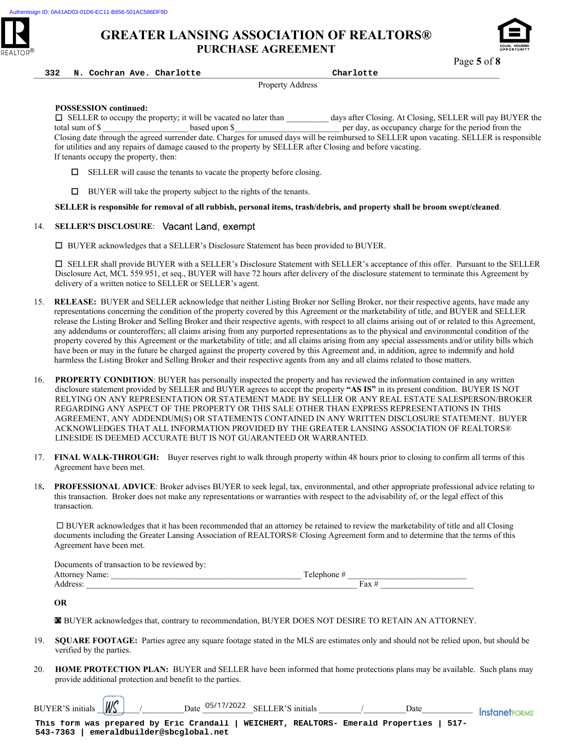



Page **5** of **8**

\_\_\_\_\_\_\_\_\_\_\_\_\_\_\_\_\_\_\_\_\_\_\_\_\_\_\_\_\_\_\_\_\_\_\_\_\_\_\_\_\_\_\_\_\_\_\_\_\_\_\_\_\_\_\_\_\_\_\_\_\_\_\_\_\_\_\_\_\_\_\_\_\_\_\_\_\_\_\_\_\_\_\_\_\_\_\_\_\_\_\_\_\_\_\_\_\_\_\_\_\_\_\_\_\_\_\_\_\_\_ **332 N. Cochran Ave. Charlotte Charlotte**

Property Address

#### **POSSESSION continued:**

 SELLER to occupy the property; it will be vacated no later than \_\_\_\_\_\_\_\_\_\_ days after Closing. At Closing, SELLER will pay BUYER the total sum of \$ Closing date through the agreed surrender date. Charges for unused days will be reimbursed to SELLER upon vacating. SELLER is responsible for utilities and any repairs of damage caused to the property by SELLER after Closing and before vacating. If tenants occupy the property, then:

- $\Box$  SELLER will cause the tenants to vacate the property before closing.
- $\Box$  BUYER will take the property subject to the rights of the tenants.

**SELLER is responsible for removal of all rubbish, personal items, trash/debris, and property shall be broom swept/cleaned**.

#### 14. **SELLER'S DISCLOSURE**:

BUYER acknowledges that a SELLER's Disclosure Statement has been provided to BUYER.

 SELLER shall provide BUYER with a SELLER's Disclosure Statement with SELLER's acceptance of this offer. Pursuant to the SELLER Disclosure Act, MCL 559.951, et seq., BUYER will have 72 hours after delivery of the disclosure statement to terminate this Agreement by delivery of a written notice to SELLER or SELLER's agent.

- 15. **RELEASE:** BUYER and SELLER acknowledge that neither Listing Broker nor Selling Broker, nor their respective agents, have made any representations concerning the condition of the property covered by this Agreement or the marketability of title, and BUYER and SELLER release the Listing Broker and Selling Broker and their respective agents, with respect to all claims arising out of or related to this Agreement, any addendums or counteroffers; all claims arising from any purported representations as to the physical and environmental condition of the property covered by this Agreement or the marketability of title; and all claims arising from any special assessments and/or utility bills which have been or may in the future be charged against the property covered by this Agreement and, in addition, agree to indemnify and hold harmless the Listing Broker and Selling Broker and their respective agents from any and all claims related to those matters.
- 16. **PROPERTY CONDITION**: BUYER has personally inspected the property and has reviewed the information contained in any written disclosure statement provided by SELLER and BUYER agrees to accept the property **"AS IS"** in its present condition. BUYER IS NOT RELYING ON ANY REPRESENTATION OR STATEMENT MADE BY SELLER OR ANY REAL ESTATE SALESPERSON/BROKER REGARDING ANY ASPECT OF THE PROPERTY OR THIS SALE OTHER THAN EXPRESS REPRESENTATIONS IN THIS AGREEMENT, ANY ADDENDUM(S) OR STATEMENTS CONTAINED IN ANY WRITTEN DISCLOSURE STATEMENT. BUYER ACKNOWLEDGES THAT ALL INFORMATION PROVIDED BY THE GREATER LANSING ASSOCIATION OF REALTORS® LINESIDE IS DEEMED ACCURATE BUT IS NOT GUARANTEED OR WARRANTED.
- 17. **FINAL WALK-THROUGH:** Buyer reserves right to walk through property within 48 hours prior to closing to confirm all terms of this Agreement have been met.
- 18**. PROFESSIONAL ADVICE**: Broker advises BUYER to seek legal, tax, environmental, and other appropriate professional advice relating to this transaction. Broker does not make any representations or warranties with respect to the advisability of, or the legal effect of this transaction.

 BUYER acknowledges that it has been recommended that an attorney be retained to review the marketability of title and all Closing documents including the Greater Lansing Association of REALTORS® Closing Agreement form and to determine that the terms of this Agreement have been met.

|                     | Documents of transaction to be reviewed by: |           |     |
|---------------------|---------------------------------------------|-----------|-----|
| Attorney '<br>Name: |                                             | Telenhone |     |
| ddress.             |                                             |           | ʻax |

**OR** 

BUYER acknowledges that, contrary to recommendation, BUYER DOES NOT DESIRE TO RETAIN AN ATTORNEY.

- 19. **SQUARE FOOTAGE:** Parties agree any square footage stated in the MLS are estimates only and should not be relied upon, but should be verified by the parties.
- 20. **HOME PROTECTION PLAN:** BUYER and SELLER have been informed that home protections plans may be available. Such plans may provide additional protection and benefit to the parties. **EX** BUYER acknowledges that, contrary to recomments<br>19. **SQUARE FOOTAGE:** Parties agree any square f<br>verified by the parties.<br>20. **HOME PROTECTION PLAN:** BUYER and SE<br>provide additional protection and benefit to the part<br>

BUYER'S initials  $\sqrt{\frac{M}{S}}$  / Date  $\frac{0.05}{17}{12022}$  SELLER'S initials  $\frac{1}{120}$  Date Date  $\frac{1}{120}$  Instanet FORMS'

**This form was prepared by Eric Crandall | WEICHERT, REALTORS- Emerald Properties | 517-**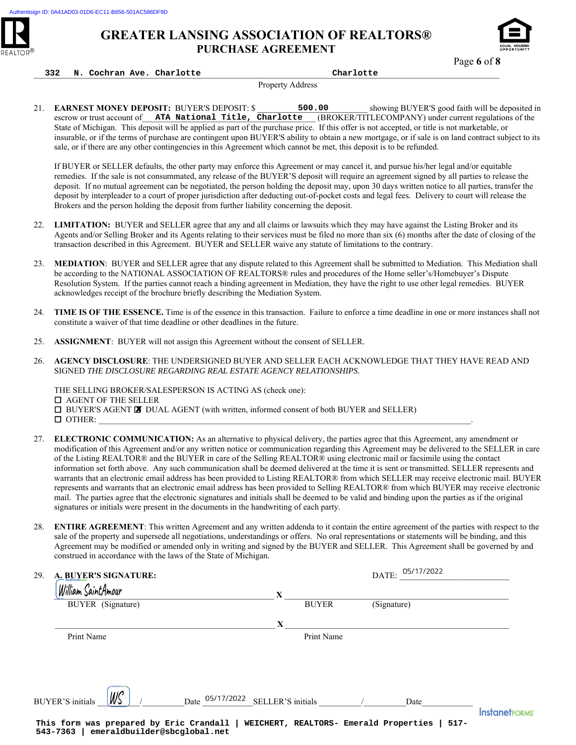



Page **6** of **8**

#### \_\_\_\_\_\_\_\_\_\_\_\_\_\_\_\_\_\_\_\_\_\_\_\_\_\_\_\_\_\_\_\_\_\_\_\_\_\_\_\_\_\_\_\_\_\_\_\_\_\_\_\_\_\_\_\_\_\_\_\_\_\_\_\_\_\_\_\_\_\_\_\_\_\_\_\_\_\_\_\_\_\_\_\_\_\_\_\_\_\_\_\_\_\_\_\_\_\_\_\_\_\_\_\_\_\_\_\_\_\_ **332 N. Cochran Ave. Charlotte Charlotte**

Property Address

21. **EARNEST MONEY DEPOSIT:** BUYER'S DEPOSIT: \$ 500.00 showing BUYER'S good faith will be deposited in escrow or trust account of **ATA National Title, Charlotte** (BROKER/TITLECOMPANY) under current regulations of the State of Michigan. This deposit will be applied as part of the purchase price. If this offer is not accepted, or title is not marketable, or insurable, or if the terms of purchase are contingent upon BUYER'S ability to obtain a new mortgage, or if sale is on land contract subject to its sale, or if there are any other contingencies in this Agreement which cannot be met, this deposit is to be refunded.

- 22. **LIMITATION:** BUYER and SELLER agree that any and all claims or lawsuits which they may have against the Listing Broker and its Agents and/or Selling Broker and its Agents relating to their services must be filed no more than six (6) months after the date of closing of the transaction described in this Agreement. BUYER and SELLER waive any statute of limitations to the contrary.
- 23. **MEDIATION**: BUYER and SELLER agree that any dispute related to this Agreement shall be submitted to Mediation. This Mediation shall be according to the NATIONAL ASSOCIATION OF REALTORS® rules and procedures of the Home seller's/Homebuyer's Dispute Resolution System. If the parties cannot reach a binding agreement in Mediation, they have the right to use other legal remedies. BUYER acknowledges receipt of the brochure briefly describing the Mediation System.
- 24. **TIME IS OF THE ESSENCE.** Time is of the essence in this transaction. Failure to enforce a time deadline in one or more instances shall not constitute a waiver of that time deadline or other deadlines in the future.
- 25. **ASSIGNMENT**: BUYER will not assign this Agreement without the consent of SELLER.

- OTHER: \_\_\_\_\_\_\_\_\_\_\_\_\_\_\_\_\_\_\_\_\_\_\_\_\_\_\_\_\_\_\_\_\_\_\_\_\_\_\_\_\_\_\_\_\_\_\_\_\_\_\_\_\_\_\_\_\_\_\_\_\_\_\_\_\_\_\_\_\_\_\_\_\_\_\_\_\_\_\_\_\_\_\_\_\_\_\_\_. 27. **ELECTRONIC COMMUNICATION:** As an alternative to physical delivery, the parties agree that this Agreement, any amendment or modification of this Agreement and/or any written notice or communication regarding this Agreement may be delivered to the SELLER in care of the Listing REALTOR® and the BUYER in care of the Selling REALTOR® using electronic mail or facsimile using the contact information set forth above. Any such communication shall be deemed delivered at the time it is sent or transmitted. SELLER represents and warrants that an electronic email address has been provided to Listing REALTOR® from which SELLER may receive electronic mail. BUYER represents and warrants that an electronic email address has been provided to Selling REALTOR® from which BUYER may receive electronic mail. The parties agree that the electronic signatures and initials shall be deemed to be valid and binding upon the parties as if the original
	- 28. **ENTIRE AGREEMENT**: This written Agreement and any written addenda to it contain the entire agreement of the parties with respect to the sale of the property and supersede all negotiations, understandings or offers. No oral representations or statements will be binding, and this Agreement may be modified or amended only in writing and signed by the BUYER and SELLER. This Agreement shall be governed by and construed in accordance with the laws of the State of Michigan.

| 21. | <b>EARNEST MONEY DEPOSIT: BUYER'S DEPOSIT: \$</b><br>500.00<br>showing BUYER'S good faith will be deposited<br>ATA National Title, Charlotte (BROKER/TITLECOMPANY) under current regulations of the<br>escrow or trust account of<br>State of Michigan. This deposit will be applied as part of the purchase price. If this offer is not accepted, or title is not marketable, or<br>insurable, or if the terms of purchase are contingent upon BUYER'S ability to obtain a new mortgage, or if sale is on land contract subject to<br>sale, or if there are any other contingencies in this Agreement which cannot be met, this deposit is to be refunded.                                                                                                                                                                                                                                                                                                                                                                                                                         |
|-----|-------------------------------------------------------------------------------------------------------------------------------------------------------------------------------------------------------------------------------------------------------------------------------------------------------------------------------------------------------------------------------------------------------------------------------------------------------------------------------------------------------------------------------------------------------------------------------------------------------------------------------------------------------------------------------------------------------------------------------------------------------------------------------------------------------------------------------------------------------------------------------------------------------------------------------------------------------------------------------------------------------------------------------------------------------------------------------------|
|     | If BUYER or SELLER defaults, the other party may enforce this Agreement or may cancel it, and pursue his/her legal and/or equitable<br>remedies. If the sale is not consummated, any release of the BUYER'S deposit will require an agreement signed by all parties to release the<br>deposit. If no mutual agreement can be negotiated, the person holding the deposit may, upon 30 days written notice to all parties, transfer the<br>deposit by interpleader to a court of proper jurisdiction after deducting out-of-pocket costs and legal fees. Delivery to court will release the<br>Brokers and the person holding the deposit from further liability concerning the deposit.                                                                                                                                                                                                                                                                                                                                                                                              |
| 22. | LIMITATION: BUYER and SELLER agree that any and all claims or lawsuits which they may have against the Listing Broker and its<br>Agents and/or Selling Broker and its Agents relating to their services must be filed no more than six (6) months after the date of closing of the<br>transaction described in this Agreement. BUYER and SELLER waive any statute of limitations to the contrary.                                                                                                                                                                                                                                                                                                                                                                                                                                                                                                                                                                                                                                                                                   |
| 23. | MEDIATION: BUYER and SELLER agree that any dispute related to this Agreement shall be submitted to Mediation. This Mediation sha<br>be according to the NATIONAL ASSOCIATION OF REALTORS® rules and procedures of the Home seller's/Homebuyer's Dispute<br>Resolution System. If the parties cannot reach a binding agreement in Mediation, they have the right to use other legal remedies. BUYER<br>acknowledges receipt of the brochure briefly describing the Mediation System.                                                                                                                                                                                                                                                                                                                                                                                                                                                                                                                                                                                                 |
| 24. | TIME IS OF THE ESSENCE. Time is of the essence in this transaction. Failure to enforce a time deadline in one or more instances shall n<br>constitute a waiver of that time deadline or other deadlines in the future.                                                                                                                                                                                                                                                                                                                                                                                                                                                                                                                                                                                                                                                                                                                                                                                                                                                              |
| 25. | ASSIGNMENT: BUYER will not assign this Agreement without the consent of SELLER.                                                                                                                                                                                                                                                                                                                                                                                                                                                                                                                                                                                                                                                                                                                                                                                                                                                                                                                                                                                                     |
| 26. | AGENCY DISCLOSURE: THE UNDERSIGNED BUYER AND SELLER EACH ACKNOWLEDGE THAT THEY HAVE READ AND<br>SIGNED THE DISCLOSURE REGARDING REAL ESTATE AGENCY RELATIONSHIPS.                                                                                                                                                                                                                                                                                                                                                                                                                                                                                                                                                                                                                                                                                                                                                                                                                                                                                                                   |
|     | THE SELLING BROKER/SALESPERSON IS ACTING AS (check one):<br>$\Box$ AGENT OF THE SELLER<br><b>I BUYER'S AGENT IN DUAL AGENT</b> (with written, informed consent of both BUYER and SELLER)<br>$\Box$ OTHER:                                                                                                                                                                                                                                                                                                                                                                                                                                                                                                                                                                                                                                                                                                                                                                                                                                                                           |
| 27. | <b>ELECTRONIC COMMUNICATION:</b> As an alternative to physical delivery, the parties agree that this Agreement, any amendment or<br>modification of this Agreement and/or any written notice or communication regarding this Agreement may be delivered to the SELLER in ca<br>of the Listing REALTOR® and the BUYER in care of the Selling REALTOR® using electronic mail or facsimile using the contact<br>information set forth above. Any such communication shall be deemed delivered at the time it is sent or transmitted. SELLER represents and<br>warrants that an electronic email address has been provided to Listing REALTOR® from which SELLER may receive electronic mail. BUYI<br>represents and warrants that an electronic email address has been provided to Selling REALTOR® from which BUYER may receive electron<br>mail. The parties agree that the electronic signatures and initials shall be deemed to be valid and binding upon the parties as if the original<br>signatures or initials were present in the documents in the handwriting of each party. |
| 28. | ENTIRE AGREEMENT: This written Agreement and any written addenda to it contain the entire agreement of the parties with respect to tl<br>sale of the property and supersede all negotiations, understandings or offers. No oral representations or statements will be binding, and this<br>Agreement may be modified or amended only in writing and signed by the BUYER and SELLER. This Agreement shall be governed by and<br>construed in accordance with the laws of the State of Michigan.                                                                                                                                                                                                                                                                                                                                                                                                                                                                                                                                                                                      |
| 29. | DATE: $\frac{05/17/2022}{\frac{1}{201}}$<br>A. BUYER'S SIGNATURE:                                                                                                                                                                                                                                                                                                                                                                                                                                                                                                                                                                                                                                                                                                                                                                                                                                                                                                                                                                                                                   |
|     | William SaintAmour<br>BUYER (Signature)                                                                                                                                                                                                                                                                                                                                                                                                                                                                                                                                                                                                                                                                                                                                                                                                                                                                                                                                                                                                                                             |
|     | BUYER (Signature)                                                                                                                                                                                                                                                                                                                                                                                                                                                                                                                                                                                                                                                                                                                                                                                                                                                                                                                                                                                                                                                                   |
|     | $\mathbf{X}$                                                                                                                                                                                                                                                                                                                                                                                                                                                                                                                                                                                                                                                                                                                                                                                                                                                                                                                                                                                                                                                                        |
|     | Print Name<br>Print Name                                                                                                                                                                                                                                                                                                                                                                                                                                                                                                                                                                                                                                                                                                                                                                                                                                                                                                                                                                                                                                                            |
|     | WS<br>Date $05/17/2022$ SELLER'S initials /<br>Date<br><b>BUYER'S</b> initials                                                                                                                                                                                                                                                                                                                                                                                                                                                                                                                                                                                                                                                                                                                                                                                                                                                                                                                                                                                                      |
|     | <b>InstanetFORMS</b><br>This form was prepared by Eric Crandall   WEICHERT, REALTORS- Emerald Properties   517-<br>emeraldbuilder@sbcglobal.net<br>543-7363                                                                                                                                                                                                                                                                                                                                                                                                                                                                                                                                                                                                                                                                                                                                                                                                                                                                                                                         |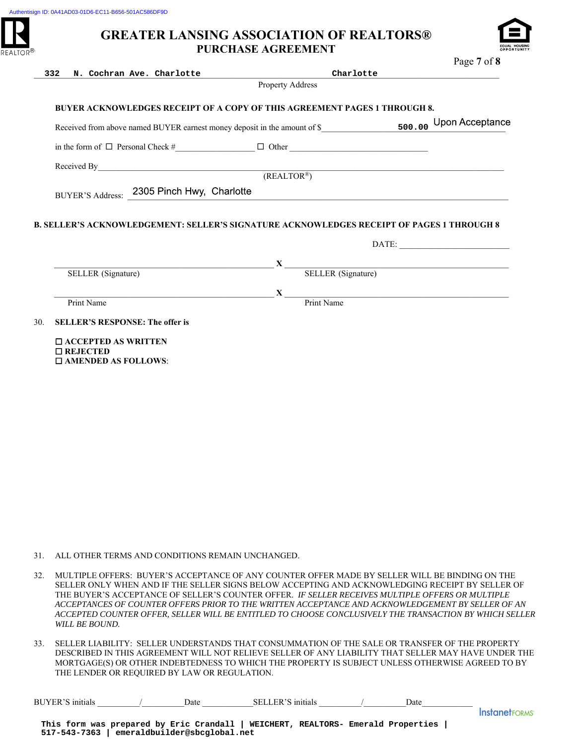

|     | 332<br>N. Cochran Ave. Charlotte                 |                    |                                                                                                                                                                                                                                                                                                                                       |      |                           |
|-----|--------------------------------------------------|--------------------|---------------------------------------------------------------------------------------------------------------------------------------------------------------------------------------------------------------------------------------------------------------------------------------------------------------------------------------|------|---------------------------|
|     |                                                  |                    | Property Address                                                                                                                                                                                                                                                                                                                      |      |                           |
|     |                                                  |                    | BUYER ACKNOWLEDGES RECEIPT OF A COPY OF THIS AGREEMENT PAGES 1 THROUGH 8.                                                                                                                                                                                                                                                             |      |                           |
|     |                                                  |                    |                                                                                                                                                                                                                                                                                                                                       |      |                           |
|     |                                                  |                    |                                                                                                                                                                                                                                                                                                                                       |      |                           |
|     |                                                  |                    |                                                                                                                                                                                                                                                                                                                                       |      |                           |
|     |                                                  |                    | Received By $(REALTOR^*)$                                                                                                                                                                                                                                                                                                             |      |                           |
|     | BUYER'S Address: 2305 Pinch Hwy, Charlotte       |                    |                                                                                                                                                                                                                                                                                                                                       |      |                           |
|     |                                                  |                    |                                                                                                                                                                                                                                                                                                                                       |      |                           |
|     |                                                  |                    | <b>B. SELLER'S ACKNOWLEDGEMENT: SELLER'S SIGNATURE ACKNOWLEDGES RECEIPT OF PAGES 1 THROUGH 8</b>                                                                                                                                                                                                                                      |      |                           |
|     |                                                  |                    |                                                                                                                                                                                                                                                                                                                                       |      |                           |
|     |                                                  | SELLER (Signature) | $\mathbf{X}$ <sub>—</sub>                                                                                                                                                                                                                                                                                                             |      | <b>SELLER</b> (Signature) |
|     |                                                  |                    |                                                                                                                                                                                                                                                                                                                                       |      |                           |
|     | Print Name                                       |                    | $\mathbf{X}$ $\overline{\mathbf{P}$ $\mathbf{F}$ $\mathbf{F}$ $\mathbf{F}$ $\mathbf{N}$ $\mathbf{F}$ $\mathbf{F}$ $\mathbf{N}$ $\mathbf{F}$ $\mathbf{F}$ $\mathbf{F}$ $\mathbf{N}$ $\mathbf{F}$ $\mathbf{F}$ $\mathbf{F}$ $\mathbf{F}$ $\mathbf{F}$ $\mathbf{F}$ $\mathbf{F}$ $\mathbf{F}$ $\mathbf{F}$ $\mathbf{F}$ $\mathbf{F}$ $\$ |      |                           |
|     | <b>SELLER'S RESPONSE: The offer is</b>           |                    |                                                                                                                                                                                                                                                                                                                                       |      |                           |
|     | $\Box$ ACCEPTED AS WRITTEN<br>$\square$ REJECTED |                    |                                                                                                                                                                                                                                                                                                                                       |      |                           |
|     |                                                  |                    |                                                                                                                                                                                                                                                                                                                                       |      |                           |
|     | $\square$ AMENDED AS FOLLOWS:                    |                    |                                                                                                                                                                                                                                                                                                                                       |      |                           |
|     |                                                  |                    |                                                                                                                                                                                                                                                                                                                                       |      |                           |
|     |                                                  |                    |                                                                                                                                                                                                                                                                                                                                       |      |                           |
|     |                                                  |                    |                                                                                                                                                                                                                                                                                                                                       |      |                           |
|     |                                                  |                    |                                                                                                                                                                                                                                                                                                                                       |      |                           |
|     |                                                  |                    |                                                                                                                                                                                                                                                                                                                                       |      |                           |
|     |                                                  |                    |                                                                                                                                                                                                                                                                                                                                       |      |                           |
|     |                                                  |                    |                                                                                                                                                                                                                                                                                                                                       |      |                           |
|     |                                                  |                    |                                                                                                                                                                                                                                                                                                                                       |      |                           |
|     |                                                  |                    |                                                                                                                                                                                                                                                                                                                                       |      |                           |
|     |                                                  |                    |                                                                                                                                                                                                                                                                                                                                       |      |                           |
|     |                                                  |                    |                                                                                                                                                                                                                                                                                                                                       |      |                           |
|     |                                                  |                    |                                                                                                                                                                                                                                                                                                                                       |      |                           |
|     |                                                  |                    | ALL OTHER TERMS AND CONDITIONS REMAIN UNCHANGED.                                                                                                                                                                                                                                                                                      |      |                           |
| 31. |                                                  |                    |                                                                                                                                                                                                                                                                                                                                       |      |                           |
| 32. |                                                  |                    | MULTIPLE OFFERS: BUYER'S ACCEPTANCE OF ANY COUNTER OFFER MADE BY SELLER WILL BE BINDING ON THE<br>SELLER ONLY WHEN AND IF THE SELLER SIGNS BELOW ACCEPTING AND ACKNOWLEDGING RECEIPT BY SELLER O                                                                                                                                      |      |                           |
|     |                                                  |                    | THE BUYER'S ACCEPTANCE OF SELLER'S COUNTER OFFER. IF SELLER RECEIVES MULTIPLE OFFERS OR MULTIPLE                                                                                                                                                                                                                                      |      |                           |
|     |                                                  |                    | ACCEPTANCES OF COUNTER OFFERS PRIOR TO THE WRITTEN ACCEPTANCE AND ACKNOWLEDGEMENT BY SELLER OF A<br>ACCEPTED COUNTER OFFER, SELLER WILL BE ENTITLED TO CHOOSE CONCLUSIVELY THE TRANSACTION BY WHICH SE                                                                                                                                |      |                           |
|     | WILL BE BOUND.                                   |                    |                                                                                                                                                                                                                                                                                                                                       |      |                           |
|     |                                                  |                    | SELLER LIABILITY: SELLER UNDERSTANDS THAT CONSUMMATION OF THE SALE OR TRANSFER OF THE PROPERTY                                                                                                                                                                                                                                        |      |                           |
|     |                                                  |                    | DESCRIBED IN THIS AGREEMENT WILL NOT RELIEVE SELLER OF ANY LIABILITY THAT SELLER MAY HAVE UNDER                                                                                                                                                                                                                                       |      |                           |
|     | THE LENDER OR REQUIRED BY LAW OR REGULATION.     |                    | MORTGAGE(S) OR OTHER INDEBTEDNESS TO WHICH THE PROPERTY IS SUBJECT UNLESS OTHERWISE AGREED TO I                                                                                                                                                                                                                                       |      |                           |
| 33. |                                                  |                    |                                                                                                                                                                                                                                                                                                                                       | Date |                           |

- 31. ALL OTHER TERMS AND CONDITIONS REMAIN UNCHANGED.
- 32. MULTIPLE OFFERS: BUYER'S ACCEPTANCE OF ANY COUNTER OFFER MADE BY SELLER WILL BE BINDING ON THE SELLER ONLY WHEN AND IF THE SELLER SIGNS BELOW ACCEPTING AND ACKNOWLEDGING RECEIPT BY SELLER OF THE BUYER'S ACCEPTANCE OF SELLER'S COUNTER OFFER. *IF SELLER RECEIVES MULTIPLE OFFERS OR MULTIPLE ACCEPTANCES OF COUNTER OFFERS PRIOR TO THE WRITTEN ACCEPTANCE AND ACKNOWLEDGEMENT BY SELLER OF AN ACCEPTED COUNTER OFFER, SELLER WILL BE ENTITLED TO CHOOSE CONCLUSIVELY THE TRANSACTION BY WHICH SELLER WILL BE BOUND.*
- 33. SELLER LIABILITY: SELLER UNDERSTANDS THAT CONSUMMATION OF THE SALE OR TRANSFER OF THE PROPERTY DESCRIBED IN THIS AGREEMENT WILL NOT RELIEVE SELLER OF ANY LIABILITY THAT SELLER MAY HAVE UNDER THE MORTGAGE(S) OR OTHER INDEBTEDNESS TO WHICH THE PROPERTY IS SUBJECT UNLESS OTHERWISE AGREED TO BY THE LENDER OR REQUIRED BY LAW OR REGULATION.

| BUYER'S<br>- initials | Jate | SEL.<br>-initials<br>.F.R. | Jate |  |
|-----------------------|------|----------------------------|------|--|
|                       |      |                            |      |  |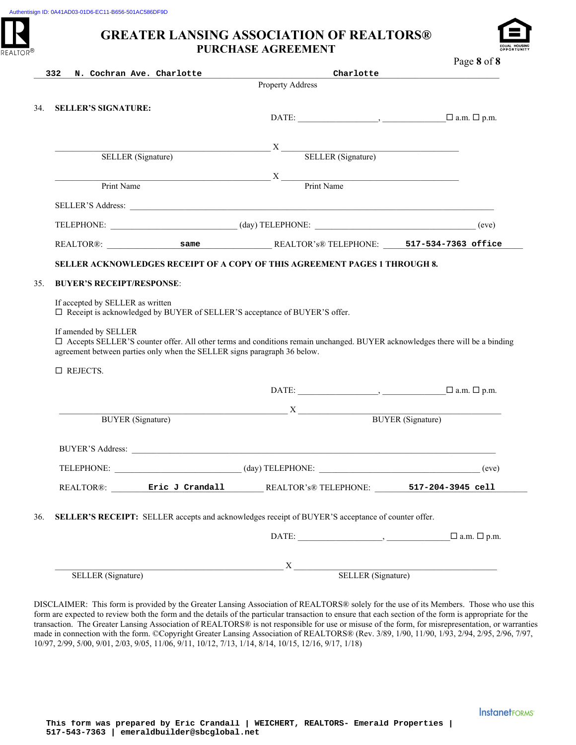



| 332                              | N. Cochran Ave. Charlotte                                                | Charlotte                                                                                                                                                                                                                                                                                                                                                                                                                                                                       | Page 8 of 8                   |
|----------------------------------|--------------------------------------------------------------------------|---------------------------------------------------------------------------------------------------------------------------------------------------------------------------------------------------------------------------------------------------------------------------------------------------------------------------------------------------------------------------------------------------------------------------------------------------------------------------------|-------------------------------|
|                                  |                                                                          | Property Address                                                                                                                                                                                                                                                                                                                                                                                                                                                                |                               |
| <b>SELLER'S SIGNATURE:</b>       |                                                                          |                                                                                                                                                                                                                                                                                                                                                                                                                                                                                 |                               |
|                                  |                                                                          |                                                                                                                                                                                                                                                                                                                                                                                                                                                                                 |                               |
|                                  |                                                                          |                                                                                                                                                                                                                                                                                                                                                                                                                                                                                 |                               |
|                                  | SELLER (Signature)                                                       | $X \longrightarrow X$ SELLER (Signature)                                                                                                                                                                                                                                                                                                                                                                                                                                        |                               |
|                                  |                                                                          |                                                                                                                                                                                                                                                                                                                                                                                                                                                                                 |                               |
| Print Name                       |                                                                          | $\begin{array}{c}\nX \longrightarrow \text{Print Name}\n\end{array}$                                                                                                                                                                                                                                                                                                                                                                                                            |                               |
|                                  |                                                                          |                                                                                                                                                                                                                                                                                                                                                                                                                                                                                 |                               |
|                                  |                                                                          |                                                                                                                                                                                                                                                                                                                                                                                                                                                                                 | (eve)                         |
|                                  |                                                                          |                                                                                                                                                                                                                                                                                                                                                                                                                                                                                 |                               |
|                                  |                                                                          | SELLER ACKNOWLEDGES RECEIPT OF A COPY OF THIS AGREEMENT PAGES 1 THROUGH 8.                                                                                                                                                                                                                                                                                                                                                                                                      |                               |
|                                  |                                                                          |                                                                                                                                                                                                                                                                                                                                                                                                                                                                                 |                               |
|                                  |                                                                          |                                                                                                                                                                                                                                                                                                                                                                                                                                                                                 |                               |
| <b>BUYER'S RECEIPT/RESPONSE:</b> |                                                                          |                                                                                                                                                                                                                                                                                                                                                                                                                                                                                 |                               |
| If accepted by SELLER as written |                                                                          | □ Receipt is acknowledged by BUYER of SELLER'S acceptance of BUYER'S offer.                                                                                                                                                                                                                                                                                                                                                                                                     |                               |
| If amended by SELLER             | agreement between parties only when the SELLER signs paragraph 36 below. | □ Accepts SELLER'S counter offer. All other terms and conditions remain unchanged. BUYER acknowledges there will be a binding                                                                                                                                                                                                                                                                                                                                                   |                               |
| $\Box$ REJECTS.                  |                                                                          |                                                                                                                                                                                                                                                                                                                                                                                                                                                                                 |                               |
|                                  |                                                                          |                                                                                                                                                                                                                                                                                                                                                                                                                                                                                 | $\square$ a.m. $\square$ p.m. |
|                                  |                                                                          |                                                                                                                                                                                                                                                                                                                                                                                                                                                                                 |                               |
| <b>BUYER</b> (Signature)         |                                                                          | $X$ BUYER (Signature)                                                                                                                                                                                                                                                                                                                                                                                                                                                           |                               |
|                                  |                                                                          |                                                                                                                                                                                                                                                                                                                                                                                                                                                                                 |                               |
|                                  |                                                                          |                                                                                                                                                                                                                                                                                                                                                                                                                                                                                 | (eve)                         |
|                                  | REALTOR®: Eric J Crandall                                                | REALTOR's® TELEPHONE: 517-204-3945 cell                                                                                                                                                                                                                                                                                                                                                                                                                                         |                               |
|                                  |                                                                          |                                                                                                                                                                                                                                                                                                                                                                                                                                                                                 |                               |
|                                  |                                                                          | SELLER'S RECEIPT: SELLER accepts and acknowledges receipt of BUYER'S acceptance of counter offer.                                                                                                                                                                                                                                                                                                                                                                               |                               |
|                                  |                                                                          | $\text{DATE:}\_\_\_\_\_\_\_\_$                                                                                                                                                                                                                                                                                                                                                                                                                                                  | $\square$ a.m. $\square$ p.m. |
|                                  |                                                                          | $\overline{\phantom{a}}$ $\overline{\phantom{a}}$ $\overline{\phantom{a}}$ $\overline{\phantom{a}}$ $\overline{\phantom{a}}$ $\overline{\phantom{a}}$ $\overline{\phantom{a}}$ $\overline{\phantom{a}}$ $\overline{\phantom{a}}$ $\overline{\phantom{a}}$ $\overline{\phantom{a}}$ $\overline{\phantom{a}}$ $\overline{\phantom{a}}$ $\overline{\phantom{a}}$ $\overline{\phantom{a}}$ $\overline{\phantom{a}}$ $\overline{\phantom{a}}$ $\overline{\phantom{a}}$ $\overline{\$ | SELLER (Signature)            |

DISCLAIMER: This form is provided by the Greater Lansing Association of REALTORS® solely for the use of its Members. Those who use this form are expected to review both the form and the details of the particular transaction to ensure that each section of the form is appropriate for the transaction. The Greater Lansing Association of REALTORS® is not responsible for use or misuse of the form, for misrepresentation, or warranties made in connection with the form. ©Copyright Greater Lansing Association of REALTORS® (Rev. 3/89, 1/90, 11/90, 1/93, 2/94, 2/95, 2/96, 7/97, 10/97, 2/99, 5/00, 9/01, 2/03, 9/05, 11/06, 9/11, 10/12, 7/13, 1/14, 8/14, 10/15, 12/16, 9/17, 1/18)